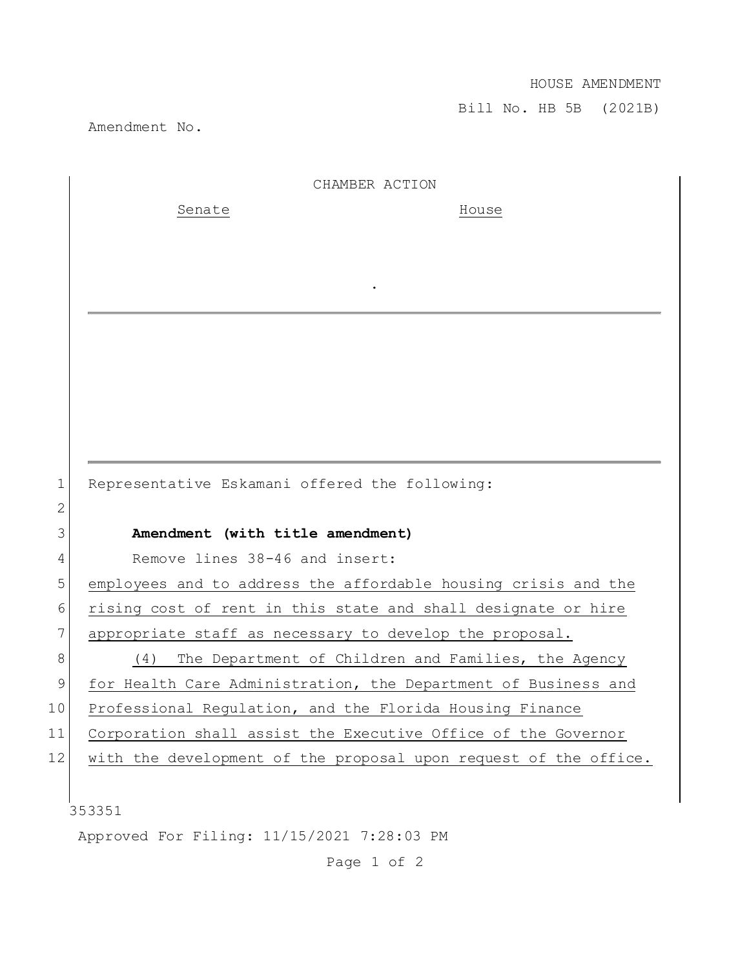## HOUSE AMENDMENT

Bill No. HB 5B (2021B)

Amendment No.

|    | CHAMBER ACTION                                                   |
|----|------------------------------------------------------------------|
|    | Senate<br>House                                                  |
|    |                                                                  |
|    |                                                                  |
|    |                                                                  |
|    |                                                                  |
|    |                                                                  |
|    |                                                                  |
|    |                                                                  |
|    |                                                                  |
|    |                                                                  |
| 1  | Representative Eskamani offered the following:                   |
| 2  |                                                                  |
| 3  | Amendment (with title amendment)                                 |
| 4  | Remove lines 38-46 and insert:                                   |
| 5  | employees and to address the affordable housing crisis and the   |
| 6  | rising cost of rent in this state and shall designate or hire    |
| 7  | appropriate staff as necessary to develop the proposal.          |
| 8  | The Department of Children and Families, the Agency<br>(4)       |
| 9  | for Health Care Administration, the Department of Business and   |
| 10 | Professional Requlation, and the Florida Housing Finance         |
| 11 | Corporation shall assist the Executive Office of the Governor    |
| 12 | with the development of the proposal upon request of the office. |
|    |                                                                  |
|    | 353351                                                           |
|    | Approved For Filing: 11/15/2021 7:28:03 PM                       |

Page 1 of 2